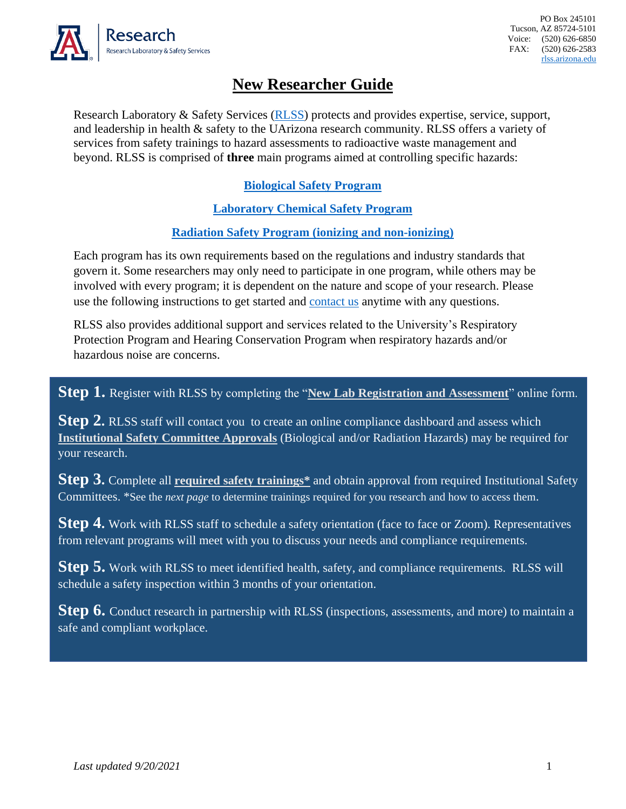

## **New Researcher Guide**

Research Laboratory & Safety Services [\(RLSS\)](https://rgw.arizona.edu/compliance/RLSS/radiation-safety) protects and provides expertise, service, support, and leadership in health & safety to the UArizona research community. RLSS offers a variety of services from safety trainings to hazard assessments to radioactive waste management and beyond. RLSS is comprised of **three** main programs aimed at controlling specific hazards:

## **[Biological Safety Program](https://rgw.arizona.edu/compliance/RLSS/biosafety-program)**

**[Laboratory Chemical Safety Program](https://rgw.arizona.edu/compliance/RLSS/chemical-safety/hazardous-chemical-laboratory-closeout)**

## **[Radiation Safety Program](https://rgw.arizona.edu/compliance/RLSS/radiation-safety) (ionizing and non-ionizing)**

Each program has its own requirements based on the regulations and industry standards that govern it. Some researchers may only need to participate in one program, while others may be involved with every program; it is dependent on the nature and scope of your research. Please use the following instructions to get started and [contact us](mailto:RLSS-help@email.arizona.edu?subject=New%20Researcher%20Registration) anytime with any questions.

RLSS also provides additional support and services related to the University's Respiratory Protection Program and Hearing Conservation Program when respiratory hazards and/or hazardous noise are concerns.

**Step 1.** Register with RLSS by completing the "**[New Lab Registration and Assessment](https://uarizona.co1.qualtrics.com/jfe/form/SV_4UB1QbJfIJErrNj)**" online form.

**Step 2.** RLSS staff will contact you to create an online compliance dashboard and assess which **[Institutional Safety Committee Approvals](https://rgw.arizona.edu/compliance/rlss/safety-committees)** (Biological and/or Radiation Hazards) may be required for your research.

**Step 3.** Complete all **[required safety trainings\\*](https://rlss.arizona.edu/train/)** and obtain approval from required Institutional Safety Committees. \*See the *next page* to determine trainings required for you research and how to access them.

**Step 4.** Work with RLSS staff to schedule a safety orientation (face to face or Zoom). Representatives from relevant programs will meet with you to discuss your needs and compliance requirements.

**Step 5.** Work with RLSS to meet identified health, safety, and compliance requirements. RLSS will schedule a safety inspection within 3 months of your orientation.

**Step 6.** Conduct research in partnership with RLSS (inspections, assessments, and more) to maintain a safe and compliant workplace.